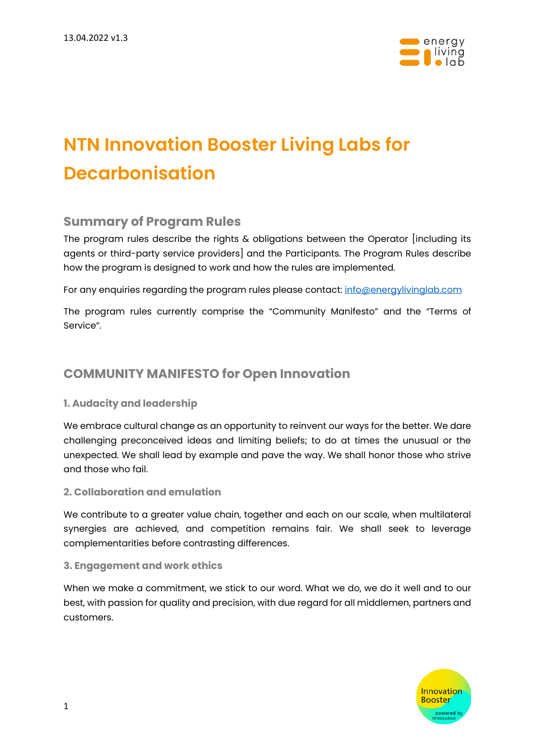

# **NTN Innovation Booster Living Labs for Decarbonisation**

### **Summary of Program Rules**

The program rules describe the rights & obligations between the Operator [including its agents or third-party service providers] and the Participants. The Program Rules describe how the program is designed to work and how the rules are implemented.

For any enquiries regarding the program rules please contact[: info@energylivinglab.com](mailto:info@energylivinglab.com)

The program rules currently comprise the "Community Manifesto" and the "Terms of Service".

## **[COMMUNITY MANIFESTO](https://microtechbooster.swiss/wp-content/uploads/2021/04/COMMUNITY_MANIFESTO.pdf) for Open Innovation**

#### **1. Audacity and leadership**

We embrace cultural change as an opportunity to reinvent our ways for the better. We dare challenging preconceived ideas and limiting beliefs; to do at times the unusual or the unexpected. We shall lead by example and pave the way. We shall honor those who strive and those who fail.

#### **2. Collaboration and emulation**

We contribute to a greater value chain, together and each on our scale, when multilateral synergies are achieved, and competition remains fair. We shall seek to leverage complementarities before contrasting differences.

#### **3. Engagement and work ethics**

When we make a commitment, we stick to our word. What we do, we do it well and to our best, with passion for quality and precision, with due regard for all middlemen, partners and customers.

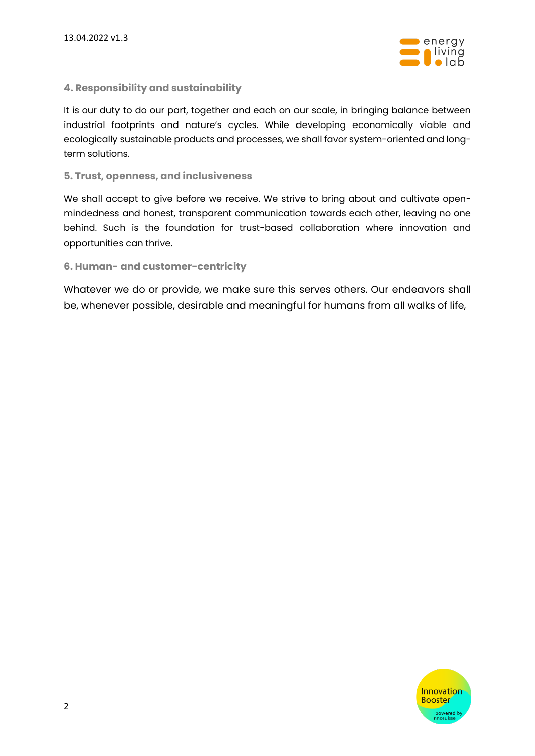

#### **4. Responsibility and sustainability**

It is our duty to do our part, together and each on our scale, in bringing balance between industrial footprints and nature's cycles. While developing economically viable and ecologically sustainable products and processes, we shall favor system-oriented and longterm solutions.

#### **5. Trust, openness, and inclusiveness**

We shall accept to give before we receive. We strive to bring about and cultivate openmindedness and honest, transparent communication towards each other, leaving no one behind. Such is the foundation for trust-based collaboration where innovation and opportunities can thrive.

#### **6. Human- and customer-centricity**

Whatever we do or provide, we make sure this serves others. Our endeavors shall be, whenever possible, desirable and meaningful for humans from all walks of life,

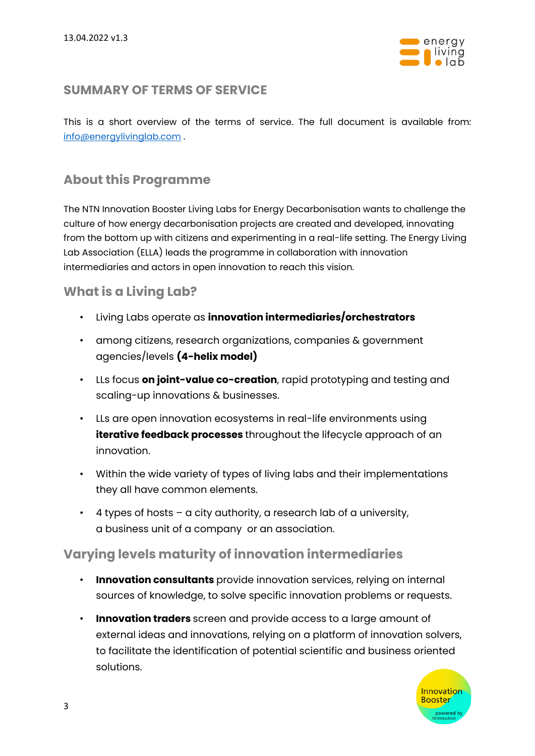

## **SUMMARY OF [TERMS OF SERVICE](https://microtechbooster.swiss/wp-content/uploads/2021/12/Terms-of-service-2021-12-23.pdf)**

This is a short overview of the terms of service. The full document is available from: [info@energylivinglab.com](mailto:info@energylivinglab.com) .

## **About this Programme**

The NTN Innovation Booster Living Labs for Energy Decarbonisation wants to challenge the culture of how energy decarbonisation projects are created and developed, innovating from the bottom up with citizens and experimenting in a real-life setting. The Energy Living Lab Association (ELLA) leads the programme in collaboration with innovation intermediaries and actors in open innovation to reach this vision.

## **What is a Living Lab?**

- Living Labs operate as **innovation intermediaries/orchestrators**
- among citizens, research organizations, companies & government agencies/levels **(4-helix model)**
- LLs focus **on joint-value co-creation**, rapid prototyping and testing and scaling-up innovations & businesses.
- LLs are open innovation ecosystems in real-life environments using **iterative feedback processes** throughout the lifecycle approach of an innovation.
- Within the wide variety of types of living labs and their implementations they all have common elements.
- $\cdot$  4 types of hosts a city authority, a research lab of a university, a business unit of a company or an association.

## **Varying levels maturity of innovation intermediaries**

- **Innovation consultants** provide innovation services, relying on internal sources of knowledge, to solve specific innovation problems or requests.
- **Innovation traders** screen and provide access to a large amount of external ideas and innovations, relying on a platform of innovation solvers, to facilitate the identification of potential scientific and business oriented solutions.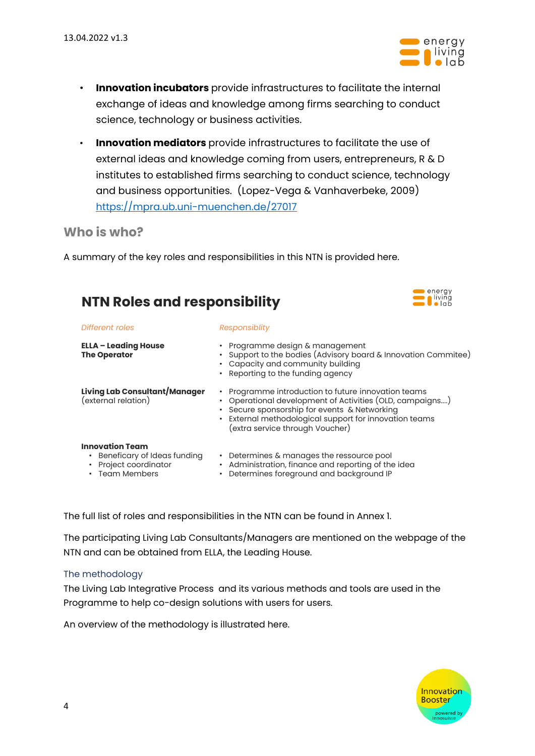

energy

- **Innovation incubators** provide infrastructures to facilitate the internal exchange of ideas and knowledge among firms searching to conduct science, technology or business activities.
- **Innovation mediators** provide infrastructures to facilitate the use of external ideas and knowledge coming from users, entrepreneurs, R & D institutes to established firms searching to conduct science, technology and business opportunities. (Lopez-Vega & Vanhaverbeke, 2009) <https://mpra.ub.uni-muenchen.de/27017>

## **Who is who?**

A summary of the key roles and responsibilities in this NTN is provided here.

| <b>I</b> lving<br><b>NTN Roles and responsibility</b>                                                 |                                                                                                                                                                                                                                                            |  |
|-------------------------------------------------------------------------------------------------------|------------------------------------------------------------------------------------------------------------------------------------------------------------------------------------------------------------------------------------------------------------|--|
| Different roles                                                                                       | Responsiblity                                                                                                                                                                                                                                              |  |
| <b>ELLA – Leading House</b><br><b>The Operator</b>                                                    | • Programme design & management<br>• Support to the bodies (Advisory board & Innovation Commitee)<br>• Capacity and community building<br>• Reporting to the funding agency                                                                                |  |
| Living Lab Consultant/Manager<br>(external relation)                                                  | • Programme introduction to future innovation teams<br>• Operational development of Activities (OLD, campaigns)<br>• Secure sponsorship for events & Networking<br>External methodological support for innovation teams<br>(extra service through Voucher) |  |
| <b>Innovation Team</b><br>• Beneficary of Ideas funding<br>Project coordinator<br><b>Team Members</b> | • Determines & manages the ressource pool<br>Administration, finance and reporting of the idea<br>$\bullet$<br>Determines foreground and background IP                                                                                                     |  |

The full list of roles and responsibilities in the NTN can be found in Annex 1.

The participating Living Lab Consultants/Managers are mentioned on the webpage of the NTN and can be obtained from ELLA, the Leading House.

#### The methodology

The Living Lab Integrative Process and its various methods and tools are used in the Programme to help co-design solutions with users for users.

An overview of the methodology is illustrated here.

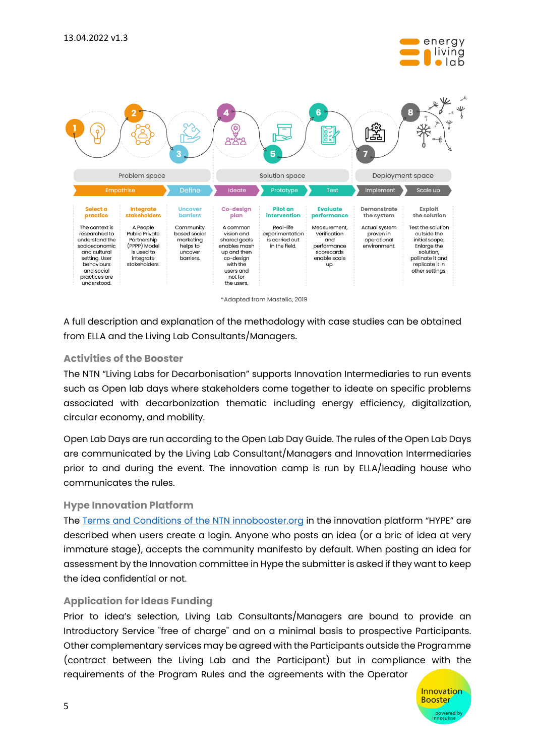



\*Adapted from Mastelic, 2019

A full description and explanation of the methodology with case studies can be obtained from ELLA and the Living Lab Consultants/Managers.

#### **Activities of the Booster**

The NTN "Living Labs for Decarbonisation" supports Innovation Intermediaries to run events such as Open lab days where stakeholders come together to ideate on specific problems associated with decarbonization thematic including energy efficiency, digitalization, circular economy, and mobility.

Open Lab Days are run according to the Open Lab Day Guide. The rules of the Open Lab Days are communicated by the Living Lab Consultant/Managers and Innovation Intermediaries prior to and during the event. The innovation camp is run by ELLA/leading house who communicates the rules.

#### **Hype Innovation Platform**

The [Terms and Conditions of the NTN innobooster.org](https://teams.microsoft.com/l/file/F0B69C31-54DF-4F85-AF74-5CEB25255032?tenantId=a372f724-c0b2-4ea0-abfb-0eb8c6f84e40&fileType=docx&objectUrl=https%3A%2F%2Fhessoit.sharepoint.com%2Fsites%2FNTNInnosuisse%2FDocuments%20partages%2FCrosslinking%20other%20NTNs%2FOpen%20Innovation%20Legal%20framework%2FHYPE%20Terms%20and%20conditions.docx&baseUrl=https%3A%2F%2Fhessoit.sharepoint.com%2Fsites%2FNTNInnosuisse&serviceName=teams&threadId=19:f4d397130d014cceb5709f8eeaeb34ae@thread.tacv2&groupId=ffbd4246-9cad-4c72-b6c9-3b4a76687249) in the innovation platform "HYPE" are described when users create a login. Anyone who posts an idea (or a bric of idea at very immature stage), accepts the community manifesto by default. When posting an idea for assessment by the Innovation committee in Hype the submitter is asked if they want to keep the idea confidential or not.

#### **Application for Ideas Funding**

Prior to idea's selection, Living Lab Consultants/Managers are bound to provide an Introductory Service "free of charge" and on a minimal basis to prospective Participants. Other complementary services may be agreed with the Participants outside the Programme (contract between the Living Lab and the Participant) but in compliance with the requirements of the Program Rules and the agreements with the Operator

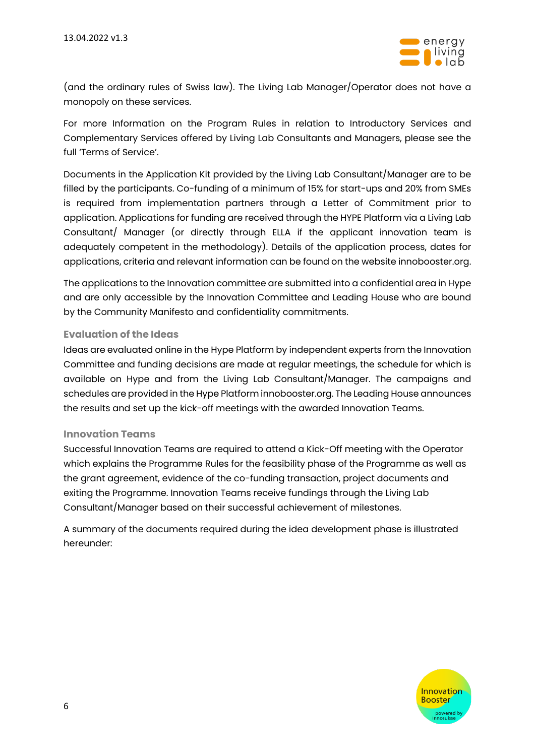

(and the ordinary rules of Swiss law). The Living Lab Manager/Operator does not have a monopoly on these services.

For more Information on the Program Rules in relation to Introductory Services and Complementary Services offered by Living Lab Consultants and Managers, please see the full 'Terms of Service'.

Documents in the Application Kit provided by the Living Lab Consultant/Manager are to be filled by the participants. Co-funding of a minimum of 15% for start-ups and 20% from SMEs is required from implementation partners through a Letter of Commitment prior to application. Applications for funding are received through the HYPE Platform via a Living Lab Consultant/ Manager (or directly through ELLA if the applicant innovation team is adequately competent in the methodology). Details of the application process, dates for applications, criteria and relevant information can be found on the website innobooster.org.

The applications to the Innovation committee are submitted into a confidential area in Hype and are only accessible by the Innovation Committee and Leading House who are bound by the Community Manifesto and confidentiality commitments.

#### **Evaluation of the Ideas**

Ideas are evaluated online in the Hype Platform by independent experts from the Innovation Committee and funding decisions are made at regular meetings, the schedule for which is available on Hype and from the Living Lab Consultant/Manager. The campaigns and schedules are provided in the Hype Platform innobooster.org. The Leading House announces the results and set up the kick-off meetings with the awarded Innovation Teams.

#### **Innovation Teams**

Successful Innovation Teams are required to attend a Kick-Off meeting with the Operator which explains the Programme Rules for the feasibility phase of the Programme as well as the grant agreement, evidence of the co-funding transaction, project documents and exiting the Programme. Innovation Teams receive fundings through the Living Lab Consultant/Manager based on their successful achievement of milestones.

A summary of the documents required during the idea development phase is illustrated hereunder:

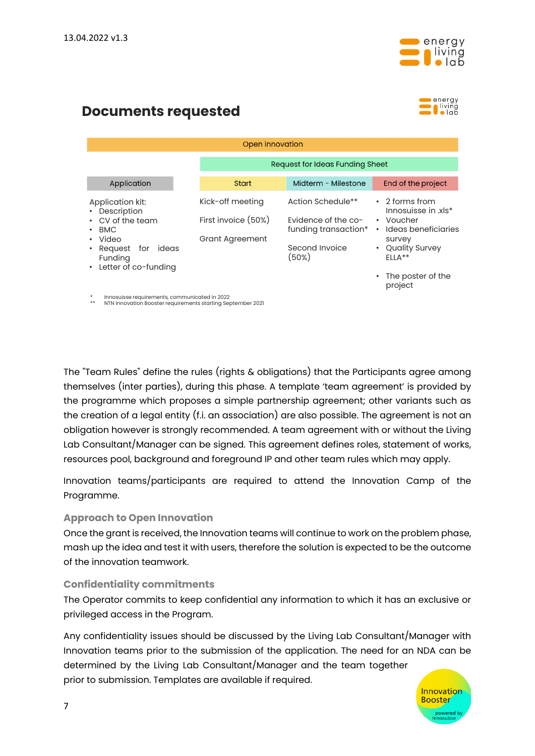

## **Documents requested**



| Open innovation                                                                                                                             |                                                                   |                                                                                             |                                                                                                                                         |  |
|---------------------------------------------------------------------------------------------------------------------------------------------|-------------------------------------------------------------------|---------------------------------------------------------------------------------------------|-----------------------------------------------------------------------------------------------------------------------------------------|--|
|                                                                                                                                             |                                                                   | Request for Ideas Funding Sheet                                                             |                                                                                                                                         |  |
| Application                                                                                                                                 | <b>Start</b>                                                      | Midterm - Milestone                                                                         | End of the project                                                                                                                      |  |
| Application kit:<br>• Description<br>• CV of the team<br>$\cdot$ BMC<br>• Video<br>• Request for ideas<br>Funding<br>• Letter of co-funding | Kick-off meeting<br>First invoice (50%)<br><b>Grant Agreement</b> | Action Schedule**<br>Evidence of the co-<br>funding transaction*<br>Second Invoice<br>(50%) | $\cdot$ 2 forms from<br>Innosuisse in .xls*<br>• Voucher<br>Ideas beneficiaries<br>$\bullet$<br>survey<br>• Quality Survey<br>$FII A**$ |  |
|                                                                                                                                             |                                                                   |                                                                                             | The poster of the<br>project                                                                                                            |  |

Innosuisse requirements, communicated in 2022

**THE NTN INNOVATION CONSTRUCTED STARTING OF STARTING SEPTEMBER 2021** 

The "Team Rules" define the rules (rights & obligations) that the Participants agree among themselves (inter parties), during this phase. A template 'team agreement' is provided by the programme which proposes a simple partnership agreement; other variants such as the creation of a legal entity (f.i. an association) are also possible. The agreement is not an obligation however is strongly recommended. A team agreement with or without the Living Lab Consultant/Manager can be signed. This agreement defines roles, statement of works, resources pool, background and foreground IP and other team rules which may apply.

Innovation teams/participants are required to attend the Innovation Camp of the Programme.

#### **Approach to Open Innovation**

Once the grant is received, the Innovation teams will continue to work on the problem phase, mash up the idea and test it with users, therefore the solution is expected to be the outcome of the innovation teamwork.

#### **Confidentiality commitments**

The Operator commits to keep confidential any information to which it has an exclusive or privileged access in the Program.

Any confidentiality issues should be discussed by the Living Lab Consultant/Manager with Innovation teams prior to the submission of the application. The need for an NDA can be determined by the Living Lab Consultant/Manager and the team together prior to submission. Templates are available if required.

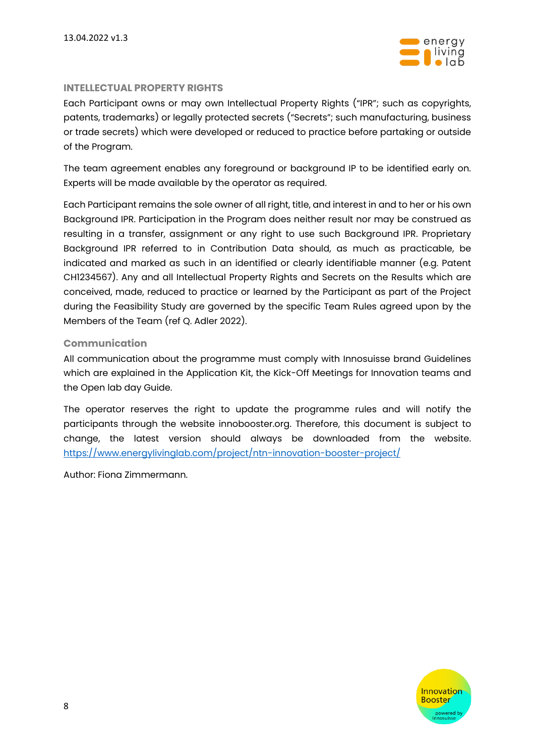

#### **INTELLECTUAL PROPERTY RIGHTS**

Each Participant owns or may own Intellectual Property Rights ("IPR"; such as copyrights, patents, trademarks) or legally protected secrets ("Secrets"; such manufacturing, business or trade secrets) which were developed or reduced to practice before partaking or outside of the Program.

The team agreement enables any foreground or background IP to be identified early on. Experts will be made available by the operator as required.

Each Participant remains the sole owner of all right, title, and interest in and to her or his own Background IPR. Participation in the Program does neither result nor may be construed as resulting in a transfer, assignment or any right to use such Background IPR. Proprietary Background IPR referred to in Contribution Data should, as much as practicable, be indicated and marked as such in an identified or clearly identifiable manner (e.g. Patent CH1234567). Any and all Intellectual Property Rights and Secrets on the Results which are conceived, made, reduced to practice or learned by the Participant as part of the Project during the Feasibility Study are governed by the specific Team Rules agreed upon by the Members of the Team (ref Q. Adler 2022).

#### **Communication**

All communication about the programme must comply with Innosuisse brand Guidelines which are explained in the Application Kit, the Kick-Off Meetings for Innovation teams and the Open lab day Guide.

The operator reserves the right to update the programme rules and will notify the participants through the website innobooster.org. Therefore, this document is subject to change, the latest version should always be downloaded from the website. <https://www.energylivinglab.com/project/ntn-innovation-booster-project/>

Author: Fiona Zimmermann.

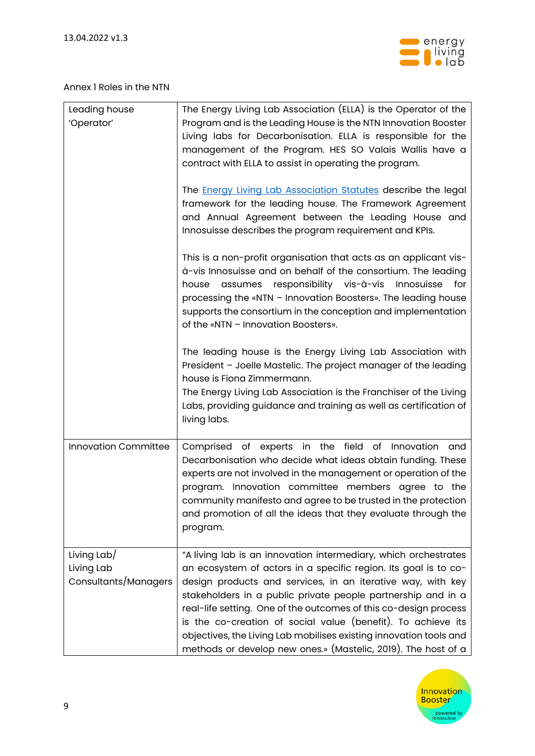

#### Annex 1 Roles in the NTN

| Leading house<br>'Operator'                       | The Energy Living Lab Association (ELLA) is the Operator of the<br>Program and is the Leading House is the NTN Innovation Booster<br>Living labs for Decarbonisation. ELLA is responsible for the<br>management of the Program. HES SO Valais Wallis have a<br>contract with ELLA to assist in operating the program.                                                                                                                                                                                                                        |
|---------------------------------------------------|----------------------------------------------------------------------------------------------------------------------------------------------------------------------------------------------------------------------------------------------------------------------------------------------------------------------------------------------------------------------------------------------------------------------------------------------------------------------------------------------------------------------------------------------|
|                                                   | The <b>Energy Living Lab Association Statutes</b> describe the legal<br>framework for the leading house. The Framework Agreement<br>and Annual Agreement between the Leading House and<br>Innosuisse describes the program requirement and KPIs.                                                                                                                                                                                                                                                                                             |
|                                                   | This is a non-profit organisation that acts as an applicant vis-<br>à-vis Innosuisse and on behalf of the consortium. The leading<br>house assumes responsibility vis-à-vis Innosuisse<br>for<br>processing the «NTN - Innovation Boosters». The leading house<br>supports the consortium in the conception and implementation<br>of the «NTN - Innovation Boosters».                                                                                                                                                                        |
|                                                   | The leading house is the Energy Living Lab Association with<br>President - Joelle Mastelic. The project manager of the leading<br>house is Fiona Zimmermann.                                                                                                                                                                                                                                                                                                                                                                                 |
|                                                   | The Energy Living Lab Association is the Franchiser of the Living<br>Labs, providing guidance and training as well as certification of<br>living labs.                                                                                                                                                                                                                                                                                                                                                                                       |
| <b>Innovation Committee</b>                       | Comprised of experts in the field of Innovation and<br>Decarbonisation who decide what ideas obtain funding. These<br>experts are not involved in the management or operation of the<br>program. Innovation committee members agree to the<br>community manifesto and agree to be trusted in the protection<br>and promotion of all the ideas that they evaluate through the<br>program.                                                                                                                                                     |
| Living Lab/<br>Living Lab<br>Consultants/Managers | "A living lab is an innovation intermediary, which orchestrates<br>an ecosystem of actors in a specific region. Its goal is to co-<br>design products and services, in an iterative way, with key<br>stakeholders in a public private people partnership and in a<br>real-life setting. One of the outcomes of this co-design process<br>is the co-creation of social value (benefit). To achieve its<br>objectives, the Living Lab mobilises existing innovation tools and<br>methods or develop new ones.» (Mastelic, 2019). The host of a |

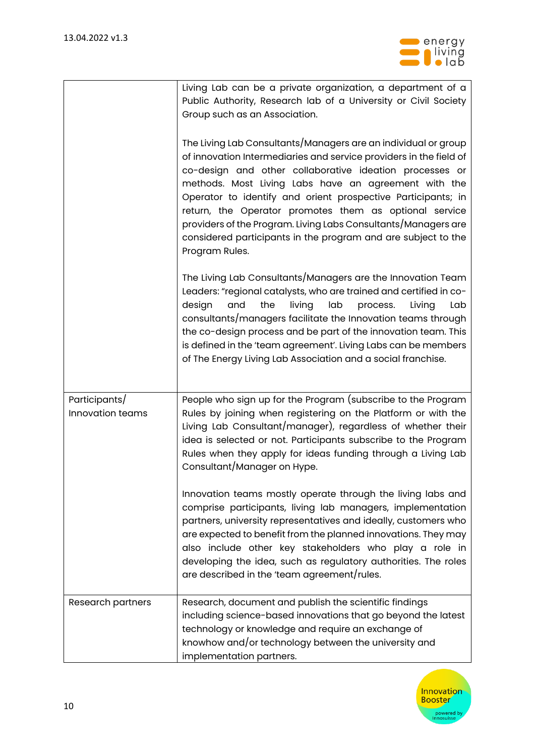

|                                   | Living Lab can be a private organization, a department of a<br>Public Authority, Research lab of a University or Civil Society<br>Group such as an Association.<br>The Living Lab Consultants/Managers are an individual or group<br>of innovation Intermediaries and service providers in the field of<br>co-design and other collaborative ideation processes or<br>methods. Most Living Labs have an agreement with the<br>Operator to identify and orient prospective Participants; in<br>return, the Operator promotes them as optional service<br>providers of the Program. Living Labs Consultants/Managers are<br>considered participants in the program and are subject to the<br>Program Rules. |
|-----------------------------------|-----------------------------------------------------------------------------------------------------------------------------------------------------------------------------------------------------------------------------------------------------------------------------------------------------------------------------------------------------------------------------------------------------------------------------------------------------------------------------------------------------------------------------------------------------------------------------------------------------------------------------------------------------------------------------------------------------------|
|                                   | The Living Lab Consultants/Managers are the Innovation Team<br>Leaders: "regional catalysts, who are trained and certified in co-<br>and<br>living<br>lab<br>design<br>the<br>Living<br>process.<br>Lab<br>consultants/managers facilitate the Innovation teams through<br>the co-design process and be part of the innovation team. This<br>is defined in the 'team agreement'. Living Labs can be members<br>of The Energy Living Lab Association and a social franchise.                                                                                                                                                                                                                               |
| Participants/<br>Innovation teams | People who sign up for the Program (subscribe to the Program<br>Rules by joining when registering on the Platform or with the<br>Living Lab Consultant/manager), regardless of whether their<br>idea is selected or not. Participants subscribe to the Program<br>Rules when they apply for ideas funding through a Living Lab<br>Consultant/Manager on Hype.                                                                                                                                                                                                                                                                                                                                             |
|                                   | Innovation teams mostly operate through the living labs and<br>comprise participants, living lab managers, implementation<br>partners, university representatives and ideally, customers who<br>are expected to benefit from the planned innovations. They may<br>also include other key stakeholders who play a role in<br>developing the idea, such as regulatory authorities. The roles<br>are described in the 'team agreement/rules.                                                                                                                                                                                                                                                                 |
| Research partners                 | Research, document and publish the scientific findings<br>including science-based innovations that go beyond the latest<br>technology or knowledge and require an exchange of<br>knowhow and/or technology between the university and<br>implementation partners.                                                                                                                                                                                                                                                                                                                                                                                                                                         |